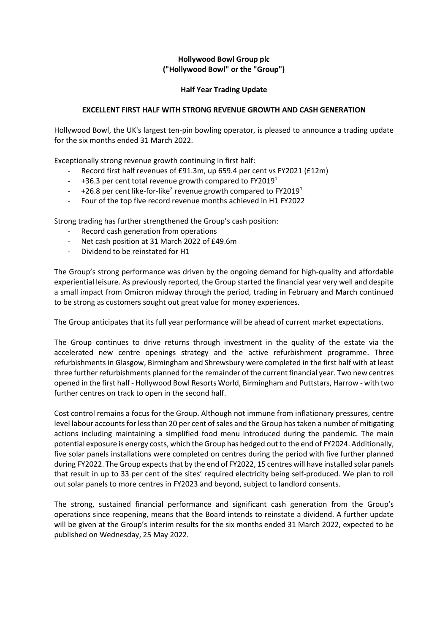# **Hollywood Bowl Group plc ("Hollywood Bowl" or the "Group")**

## **Half Year Trading Update**

## **EXCELLENT FIRST HALF WITH STRONG REVENUE GROWTH AND CASH GENERATION**

Hollywood Bowl, the UK's largest ten-pin bowling operator, is pleased to announce a trading update for the six months ended 31 March 2022.

Exceptionally strong revenue growth continuing in first half:

- Record first half revenues of £91.3m, up 659.4 per cent vs FY2021 (£12m)
- $-$  +36.3 per cent total revenue growth compared to FY2019<sup>1</sup>
- $-$  +26.8 per cent like-for-like<sup>2</sup> revenue growth compared to FY2019<sup>1</sup>
- Four of the top five record revenue months achieved in H1 FY2022

Strong trading has further strengthened the Group's cash position:

- Record cash generation from operations
- Net cash position at 31 March 2022 of £49.6m
- Dividend to be reinstated for H1

The Group's strong performance was driven by the ongoing demand for high-quality and affordable experiential leisure. As previously reported, the Group started the financial year very well and despite a small impact from Omicron midway through the period, trading in February and March continued to be strong as customers sought out great value for money experiences.

The Group anticipates that its full year performance will be ahead of current market expectations.

The Group continues to drive returns through investment in the quality of the estate via the accelerated new centre openings strategy and the active refurbishment programme. Three refurbishments in Glasgow, Birmingham and Shrewsbury were completed in the first half with at least three further refurbishments planned for the remainder of the current financial year. Two new centres opened in the first half - Hollywood Bowl Resorts World, Birmingham and Puttstars, Harrow - with two further centres on track to open in the second half.

Cost control remains a focus for the Group. Although not immune from inflationary pressures, centre level labour accounts for less than 20 per cent of sales and the Group has taken a number of mitigating actions including maintaining a simplified food menu introduced during the pandemic. The main potential exposure is energy costs, which the Group has hedged out to the end of FY2024. Additionally, five solar panels installations were completed on centres during the period with five further planned during FY2022. The Group expects that by the end of FY2022, 15 centres will have installed solar panels that result in up to 33 per cent of the sites' required electricity being self-produced. We plan to roll out solar panels to more centres in FY2023 and beyond, subject to landlord consents.

The strong, sustained financial performance and significant cash generation from the Group's operations since reopening, means that the Board intends to reinstate a dividend. A further update will be given at the Group's interim results for the six months ended 31 March 2022, expected to be published on Wednesday, 25 May 2022.